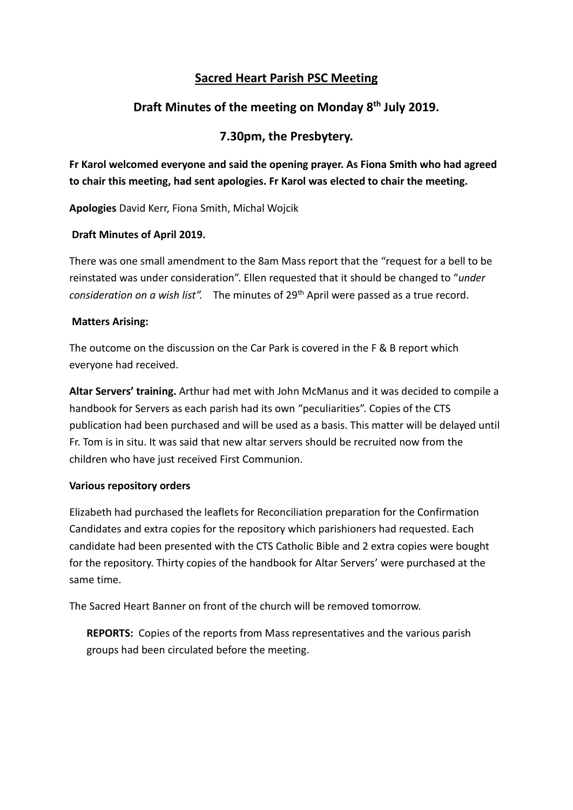### **Sacred Heart Parish PSC Meeting**

# **Draft Minutes of the meeting on Monday 8th July 2019.**

## **7.30pm, the Presbytery.**

**Fr Karol welcomed everyone and said the opening prayer. As Fiona Smith who had agreed to chair this meeting, had sent apologies. Fr Karol was elected to chair the meeting.**

**Apologies** David Kerr, Fiona Smith, Michal Wojcik

### **Draft Minutes of April 2019.**

There was one small amendment to the 8am Mass report that the "request for a bell to be reinstated was under consideration". Ellen requested that it should be changed to "*under consideration on a wish list".* The minutes of 29th April were passed as a true record.

### **Matters Arising:**

The outcome on the discussion on the Car Park is covered in the F & B report which everyone had received.

**Altar Servers' training.** Arthur had met with John McManus and it was decided to compile a handbook for Servers as each parish had its own "peculiarities". Copies of the CTS publication had been purchased and will be used as a basis. This matter will be delayed until Fr. Tom is in situ. It was said that new altar servers should be recruited now from the children who have just received First Communion.

### **Various repository orders**

Elizabeth had purchased the leaflets for Reconciliation preparation for the Confirmation Candidates and extra copies for the repository which parishioners had requested. Each candidate had been presented with the CTS Catholic Bible and 2 extra copies were bought for the repository. Thirty copies of the handbook for Altar Servers' were purchased at the same time.

The Sacred Heart Banner on front of the church will be removed tomorrow.

**REPORTS:** Copies of the reports from Mass representatives and the various parish groups had been circulated before the meeting.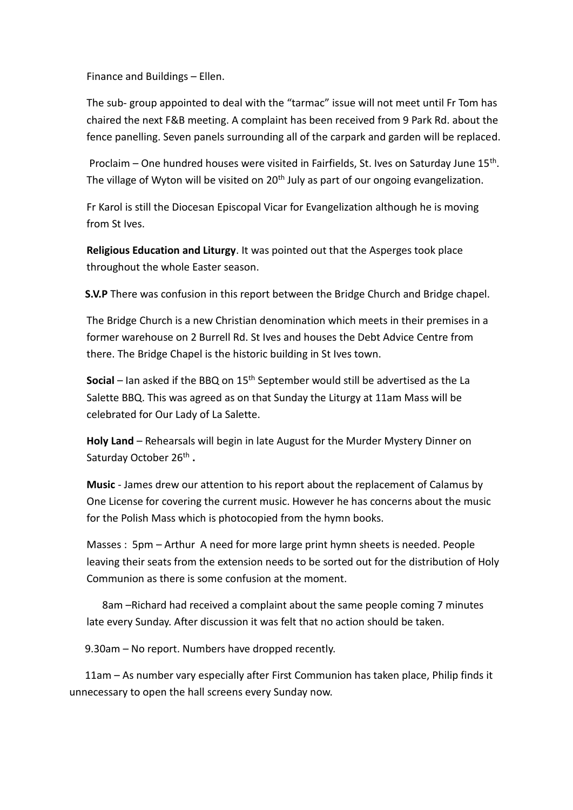Finance and Buildings – Ellen.

The sub- group appointed to deal with the "tarmac" issue will not meet until Fr Tom has chaired the next F&B meeting. A complaint has been received from 9 Park Rd. about the fence panelling. Seven panels surrounding all of the carpark and garden will be replaced.

Proclaim – One hundred houses were visited in Fairfields, St. Ives on Saturday June 15<sup>th</sup>. The village of Wyton will be visited on 20<sup>th</sup> July as part of our ongoing evangelization.

Fr Karol is still the Diocesan Episcopal Vicar for Evangelization although he is moving from St Ives.

**Religious Education and Liturgy**. It was pointed out that the Asperges took place throughout the whole Easter season.

**S.V.P** There was confusion in this report between the Bridge Church and Bridge chapel.

The Bridge Church is a new Christian denomination which meets in their premises in a former warehouse on 2 Burrell Rd. St Ives and houses the Debt Advice Centre from there. The Bridge Chapel is the historic building in St Ives town.

Social – Ian asked if the BBQ on 15<sup>th</sup> September would still be advertised as the La Salette BBQ. This was agreed as on that Sunday the Liturgy at 11am Mass will be celebrated for Our Lady of La Salette.

**Holy Land** – Rehearsals will begin in late August for the Murder Mystery Dinner on Saturday October 26<sup>th</sup>.

**Music** - James drew our attention to his report about the replacement of Calamus by One License for covering the current music. However he has concerns about the music for the Polish Mass which is photocopied from the hymn books.

Masses : 5pm – Arthur A need for more large print hymn sheets is needed. People leaving their seats from the extension needs to be sorted out for the distribution of Holy Communion as there is some confusion at the moment.

 8am –Richard had received a complaint about the same people coming 7 minutes late every Sunday. After discussion it was felt that no action should be taken.

9.30am – No report. Numbers have dropped recently.

 11am – As number vary especially after First Communion has taken place, Philip finds it unnecessary to open the hall screens every Sunday now.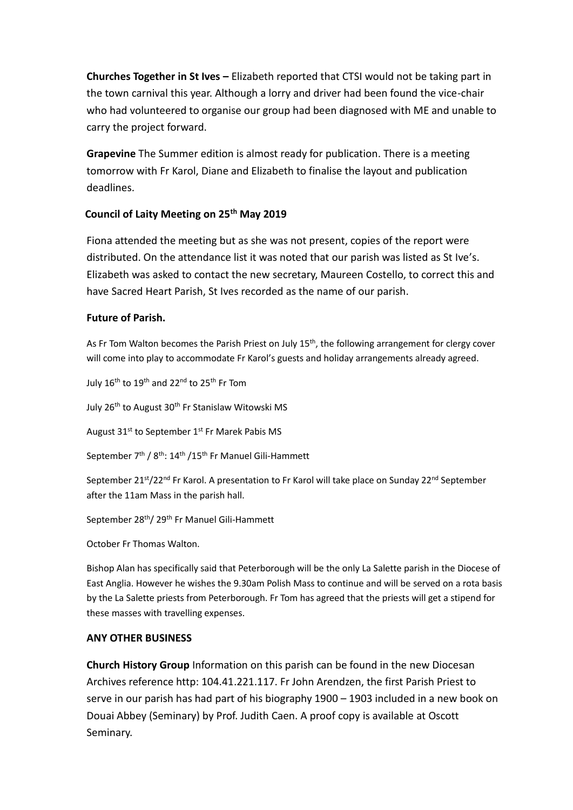**Churches Together in St Ives –** Elizabeth reported that CTSI would not be taking part in the town carnival this year. Although a lorry and driver had been found the vice-chair who had volunteered to organise our group had been diagnosed with ME and unable to carry the project forward.

**Grapevine** The Summer edition is almost ready for publication. There is a meeting tomorrow with Fr Karol, Diane and Elizabeth to finalise the layout and publication deadlines.

### **Council of Laity Meeting on 25th May 2019**

Fiona attended the meeting but as she was not present, copies of the report were distributed. On the attendance list it was noted that our parish was listed as St Ive's. Elizabeth was asked to contact the new secretary, Maureen Costello, to correct this and have Sacred Heart Parish, St Ives recorded as the name of our parish.

### **Future of Parish.**

As Fr Tom Walton becomes the Parish Priest on July 15<sup>th</sup>, the following arrangement for clergy cover will come into play to accommodate Fr Karol's guests and holiday arrangements already agreed.

July  $16^{th}$  to  $19^{th}$  and  $22^{nd}$  to  $25^{th}$  Fr Tom

July 26<sup>th</sup> to August 30<sup>th</sup> Fr Stanislaw Witowski MS

August 31<sup>st</sup> to September 1<sup>st</sup> Fr Marek Pabis MS

September 7<sup>th</sup> / 8<sup>th</sup>: 14<sup>th</sup> / 15<sup>th</sup> Fr Manuel Gili-Hammett

September  $21^{st}/22^{nd}$  Fr Karol. A presentation to Fr Karol will take place on Sunday  $22^{nd}$  September after the 11am Mass in the parish hall.

September 28th/ 29th Fr Manuel Gili-Hammett

October Fr Thomas Walton.

Bishop Alan has specifically said that Peterborough will be the only La Salette parish in the Diocese of East Anglia. However he wishes the 9.30am Polish Mass to continue and will be served on a rota basis by the La Salette priests from Peterborough. Fr Tom has agreed that the priests will get a stipend for these masses with travelling expenses.

#### **ANY OTHER BUSINESS**

**Church History Group** Information on this parish can be found in the new Diocesan Archives reference http: 104.41.221.117. Fr John Arendzen, the first Parish Priest to serve in our parish has had part of his biography 1900 – 1903 included in a new book on Douai Abbey (Seminary) by Prof. Judith Caen. A proof copy is available at Oscott Seminary.